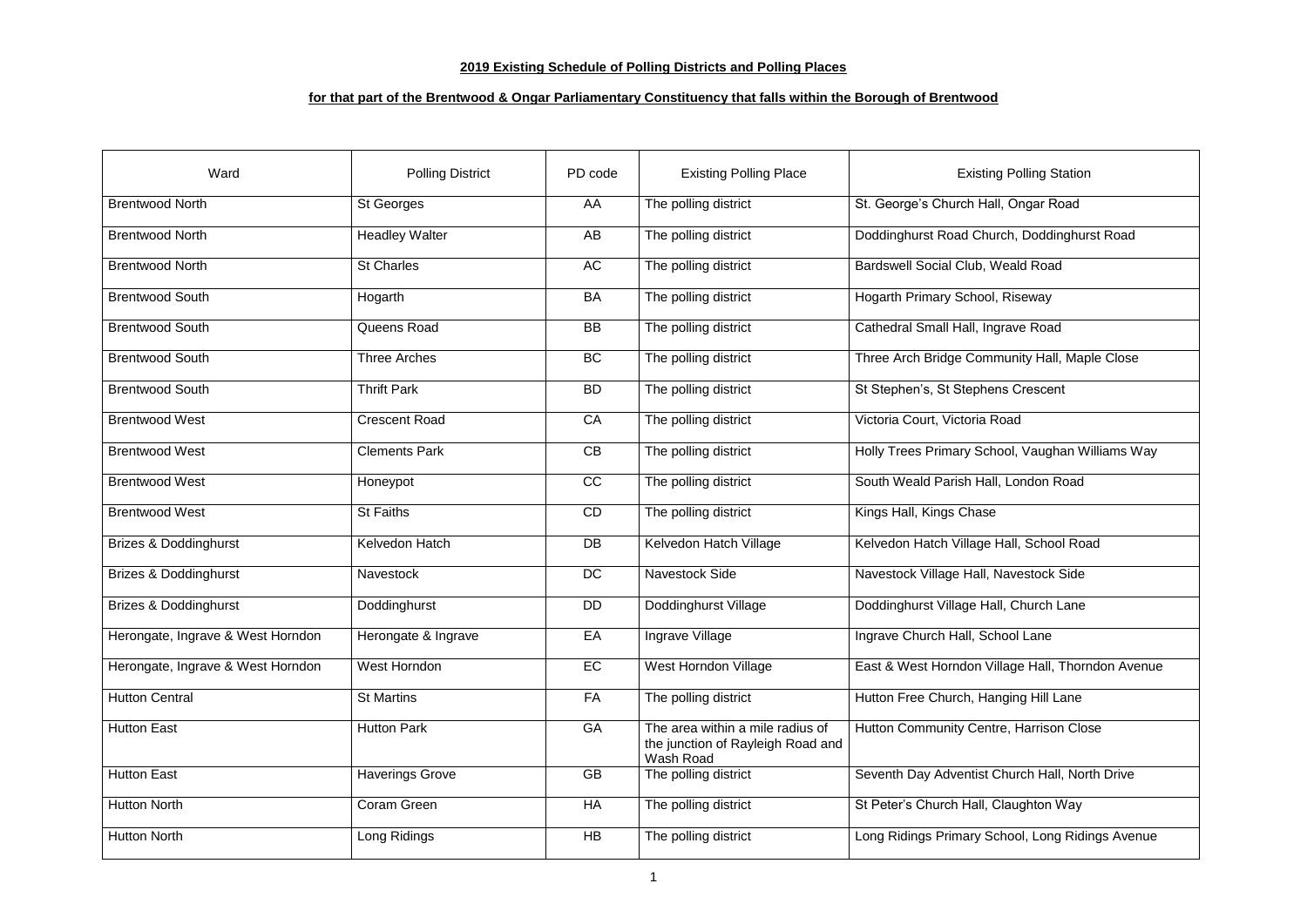## **2019 Existing Schedule of Polling Districts and Polling Places**

## **for that part of the Brentwood & Ongar Parliamentary Constituency that falls within the Borough of Brentwood**

| Ward                              | <b>Polling District</b> | PD code   | <b>Existing Polling Place</b>                                                      | <b>Existing Polling Station</b>                   |
|-----------------------------------|-------------------------|-----------|------------------------------------------------------------------------------------|---------------------------------------------------|
| <b>Brentwood North</b>            | <b>St Georges</b>       | AA        | The polling district                                                               | St. George's Church Hall, Ongar Road              |
| <b>Brentwood North</b>            | <b>Headley Walter</b>   | AB        | The polling district                                                               | Doddinghurst Road Church, Doddinghurst Road       |
| <b>Brentwood North</b>            | <b>St Charles</b>       | AC        | The polling district                                                               | Bardswell Social Club, Weald Road                 |
| <b>Brentwood South</b>            | Hogarth                 | <b>BA</b> | The polling district                                                               | Hogarth Primary School, Riseway                   |
| <b>Brentwood South</b>            | Queens Road             | <b>BB</b> | The polling district                                                               | Cathedral Small Hall, Ingrave Road                |
| <b>Brentwood South</b>            | <b>Three Arches</b>     | BC        | The polling district                                                               | Three Arch Bridge Community Hall, Maple Close     |
| <b>Brentwood South</b>            | <b>Thrift Park</b>      | <b>BD</b> | The polling district                                                               | St Stephen's, St Stephens Crescent                |
| <b>Brentwood West</b>             | <b>Crescent Road</b>    | CA        | The polling district                                                               | Victoria Court, Victoria Road                     |
| <b>Brentwood West</b>             | <b>Clements Park</b>    | CB        | The polling district                                                               | Holly Trees Primary School, Vaughan Williams Way  |
| <b>Brentwood West</b>             | Honeypot                | CC        | The polling district                                                               | South Weald Parish Hall, London Road              |
| <b>Brentwood West</b>             | <b>St Faiths</b>        | CD        | The polling district                                                               | Kings Hall, Kings Chase                           |
| <b>Brizes &amp; Doddinghurst</b>  | Kelvedon Hatch          | DB        | Kelvedon Hatch Village                                                             | Kelvedon Hatch Village Hall, School Road          |
| <b>Brizes &amp; Doddinghurst</b>  | <b>Navestock</b>        | <b>DC</b> | Navestock Side                                                                     | Navestock Village Hall, Navestock Side            |
| <b>Brizes &amp; Doddinghurst</b>  | Doddinghurst            | <b>DD</b> | Doddinghurst Village                                                               | Doddinghurst Village Hall, Church Lane            |
| Herongate, Ingrave & West Horndon | Herongate & Ingrave     | EA        | Ingrave Village                                                                    | Ingrave Church Hall, School Lane                  |
| Herongate, Ingrave & West Horndon | West Horndon            | EC        | West Horndon Village                                                               | East & West Horndon Village Hall, Thorndon Avenue |
| <b>Hutton Central</b>             | <b>St Martins</b>       | <b>FA</b> | The polling district                                                               | Hutton Free Church, Hanging Hill Lane             |
| <b>Hutton East</b>                | <b>Hutton Park</b>      | GA        | The area within a mile radius of<br>the junction of Rayleigh Road and<br>Wash Road | Hutton Community Centre, Harrison Close           |
| <b>Hutton East</b>                | <b>Haverings Grove</b>  | <b>GB</b> | The polling district                                                               | Seventh Day Adventist Church Hall, North Drive    |
| <b>Hutton North</b>               | Coram Green             | HA        | The polling district                                                               | St Peter's Church Hall, Claughton Way             |
| <b>Hutton North</b>               | Long Ridings            | HB        | The polling district                                                               | Long Ridings Primary School, Long Ridings Avenue  |